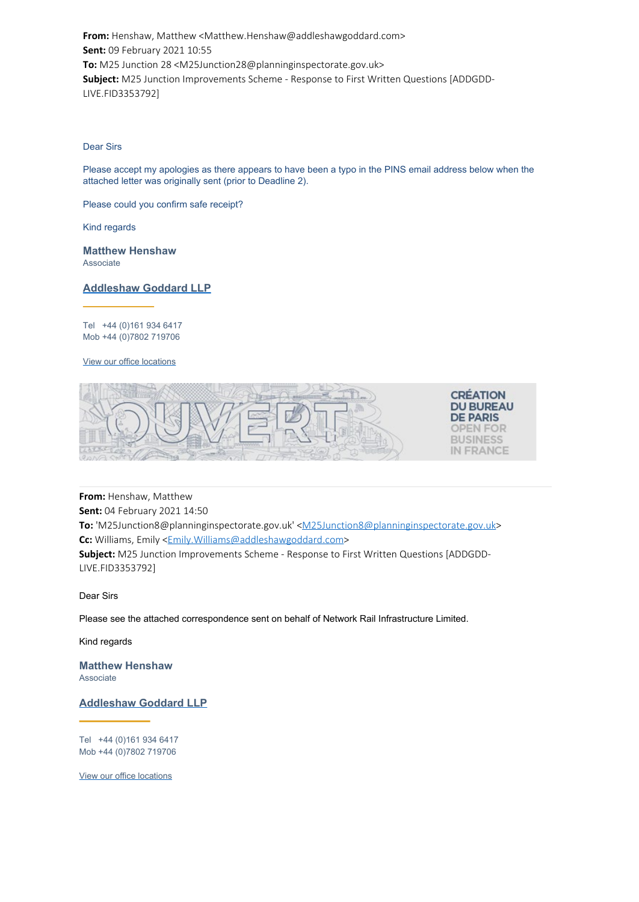**From:** Henshaw, Matthew <Matthew.Henshaw@addleshawgoddard.com> **Sent:** 09 February 2021 10:55 **To:** M25 Junction 28 <M25Junction28@planninginspectorate.gov.uk> **Subject:** M25 Junction Improvements Scheme - Response to First Written Questions [ADDGDD-LIVE.FID3353792]

### Dear Sirs

Please accept my apologies as there appears to have been a typo in the PINS email address below when the attached letter was originally sent (prior to Deadline 2).

Please could you confirm safe receipt?

Kind regards

**Matthew Henshaw** Associate

### **Addleshaw Goddard LLP**

Tel +44 (0)161 934 6417 Mob +44 (0)7802 719706

### View our office locations



**From:** Henshaw, Matthew **Sent:** 04 February 2021 14:50 **To:** 'M25Junction8@planninginspectorate.gov.uk' <M25Junction8@planninginspectorate.gov.uk> **Cc:** Williams, Emily <Emily.Williams@addleshawgoddard.com> **Subject:** M25 Junction Improvements Scheme - Response to First Written Questions [ADDGDD-LIVE.FID3353792]

Dear Sirs

Please see the attached correspondence sent on behalf of Network Rail Infrastructure Limited.

Kind regards

**Matthew Henshaw** Associate

**Addleshaw Goddard LLP**

Tel +44 (0)161 934 6417 [Mob +44 \(0\)7802 719706](https://gbr01.safelinks.protection.outlook.com/?url=https%3A%2F%2Fwww.addleshawgoddard.com%2F&data=04%7C01%7CSPENCER.BARROWMAN%40planninginspectorate.gov.uk%7C0ebff5f219bc43bbe43908d8cd019fe7%7C5878df986f8848ab9322998ce557088d%7C0%7C0%7C637484754146111474%7CUnknown%7CTWFpbGZsb3d8eyJWIjoiMC4wLjAwMDAiLCJQIjoiV2luMzIiLCJBTiI6Ik1haWwiLCJXVCI6Mn0%3D%7C1000&sdata=Jw1OqBx9EzxGzzpHTZVC%2BAjBQFwcZ2bpE%2FU8EH4NL64%3D&reserved=0)

View our office locations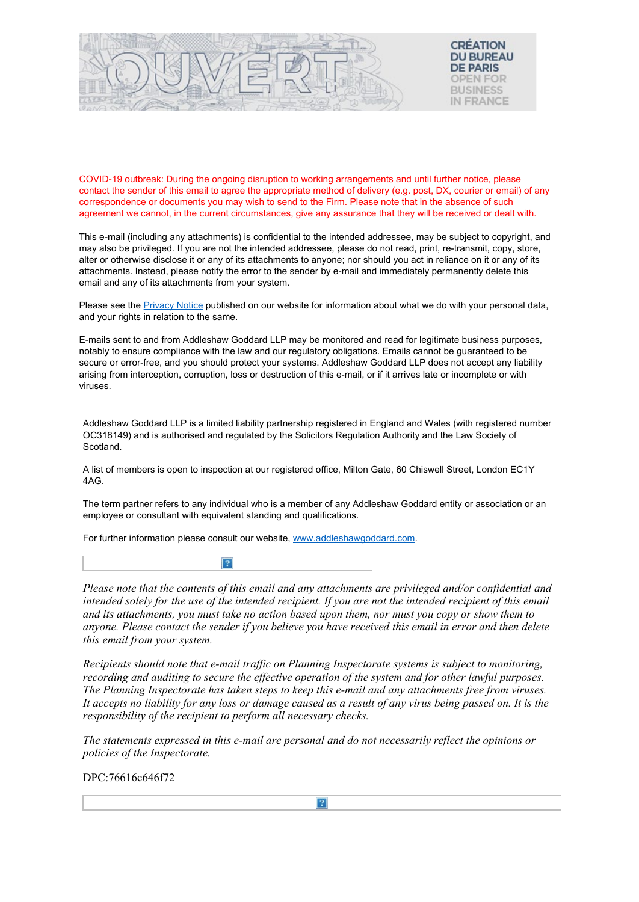

COVID-19 outbreak: During the ongoing disruption to working arrangements and until further notice, please contact the sender of this email to agree the appropriate method of delivery (e.g. post, DX, courier or email) of any correspondence or documents you may wish to send to the Firm. Please note that in the absence of such agreement we cannot, in the current circumstances, give any assurance that they will be received or dealt with.

This e-mail (including any attachments) is confidential to the intended addressee, may be subject to copyright, and may also be privileged. If you are not the intended addressee, please do not read, print, re-transmit, copy, store, alter or otherwise disclose it or any of its attachments to anyone; nor should you act in reliance on it or any of its attachments. Instead, please notify the error to the sender by e-mail and immediately permanently delete this email and any of its attachments from your system.

Please see the [Privacy Notice](https://gbr01.safelinks.protection.outlook.com/?url=https%3A%2F%2Fwww.addleshawgoddard.com%2Fen%2Fprivacy%2F&data=04%7C01%7CSPENCER.BARROWMAN%40planninginspectorate.gov.uk%7C0ebff5f219bc43bbe43908d8cd019fe7%7C5878df986f8848ab9322998ce557088d%7C0%7C0%7C637484754146141345%7CUnknown%7CTWFpbGZsb3d8eyJWIjoiMC4wLjAwMDAiLCJQIjoiV2luMzIiLCJBTiI6Ik1haWwiLCJXVCI6Mn0%3D%7C1000&sdata=RnUwYKteZlsfotDhyVpTUJe6XrAcfiKzFg3eQl9R%2Bbw%3D&reserved=0) published on our website for information about what we do with your personal data, and your rights in relation to the same.

E-mails sent to and from Addleshaw Goddard LLP may be monitored and read for legitimate business purposes, notably to ensure compliance with the law and our regulatory obligations. Emails cannot be guaranteed to be secure or error-free, and you should protect your systems. Addleshaw Goddard LLP does not accept any liability arising from interception, corruption, loss or destruction of this e-mail, or if it arrives late or incomplete or with viruses.

Addleshaw Goddard LLP is a limited liability partnership registered in England and Wales (with registered number OC318149) and is authorised and regulated by the Solicitors Regulation Authority and the Law Society of Scotland.

A list of members is open to inspection at our registered office, Milton Gate, 60 Chiswell Street, London EC1Y 4AG.

[The term partner refers to any individual who is a member of any Addleshaw Goddard entity or association or a](https://gbr01.safelinks.protection.outlook.com/?url=https%3A%2F%2Fwww.addleshawgoddard.com%2Fen%2Finternational%2Feurope%2Ffrance%2F&data=04%7C01%7CSPENCER.BARROWMAN%40planninginspectorate.gov.uk%7C0ebff5f219bc43bbe43908d8cd019fe7%7C5878df986f8848ab9322998ce557088d%7C0%7C0%7C637484754146141345%7CUnknown%7CTWFpbGZsb3d8eyJWIjoiMC4wLjAwMDAiLCJQIjoiV2luMzIiLCJBTiI6Ik1haWwiLCJXVCI6Mn0%3D%7C1000&sdata=9EzvBV4wJDLGF7iX%2FPKKq9NN7DPU6n0P7vSAOUK2xpE%3D&reserved=0)n employee or consultant with equivalent standing and qualifications.

For further information please consult our website, www.addleshawgoddard.com.



*Please note that the contents of this email and any attachments are privileged and/or confidential and intended solely for the use of the intended recipient. If you are not the intended recipient of this email and its attachments, you must take no action based upon them, nor must you copy or show them to anyone. Please contact the sender if you believe you have received this email in error and then delete this email from your system.*

*Recipients should note that e-mail traffic on Planning Inspectorate systems is subject to monitoring, recording and auditing to secure the effective operation of the system and for other lawful purposes. The Planning Inspectorate has taken steps to keep this e-mail and any attachments free from viruses. It accepts no liability for any loss or damage caused as a result of any virus being passed on. It is the responsibility of the recipient to perform all necessary checks.*

*The statements expressed in this e-mail are personal and do not necessarily reflect the opinions or policies of the Inspectorate.*

DPC:76616c646f72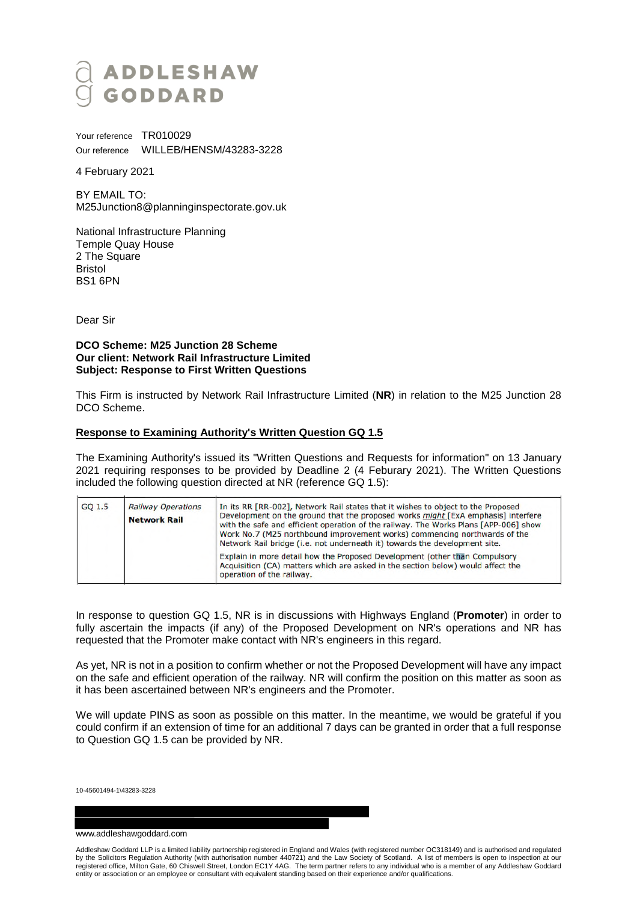# ADDLESHAW<br>Goddard

Your reference TR010029 Our reference WILLEB/HENSM/43283-3228

4 February 2021

BY EMAIL TO: M25Junction8@planninginspectorate.gov.uk

National Infrastructure Planning Temple Quay House 2 The Square Bristol BS1 6PN

Dear Sir

## **DCO Scheme: M25 Junction 28 Scheme Our client: Network Rail Infrastructure Limited Subject: Response to First Written Questions**

This Firm is instructed by Network Rail Infrastructure Limited (**NR**) in relation to the M25 Junction 28 DCO Scheme.

# **Response to Examining Authority's Written Question GQ 1.5**

The Examining Authority's issued its "Written Questions and Requests for information" on 13 January 2021 requiring responses to be provided by Deadline 2 (4 Feburary 2021). The Written Questions included the following question directed at NR (reference GQ 1.5):

| GO 1.5 | <b>Railway Operations</b><br><b>Network Rail</b> | In its RR [RR-002], Network Rail states that it wishes to object to the Proposed<br>Development on the ground that the proposed works <i>might</i> [ExA emphasis] interfere<br>with the safe and efficient operation of the railway. The Works Plans [APP-006] show<br>Work No.7 (M25 northbound improvement works) commencing northwards of the<br>Network Rail bridge (i.e. not underneath it) towards the development site. |
|--------|--------------------------------------------------|--------------------------------------------------------------------------------------------------------------------------------------------------------------------------------------------------------------------------------------------------------------------------------------------------------------------------------------------------------------------------------------------------------------------------------|
|        |                                                  | Explain in more detail how the Proposed Development (other than Compulsory<br>Acquisition (CA) matters which are asked in the section below) would affect the<br>operation of the railway.                                                                                                                                                                                                                                     |

In response to question GQ 1.5, NR is in discussions with Highways England (**Promoter**) in order to fully ascertain the impacts (if any) of the Proposed Development on NR's operations and NR has requested that the Promoter make contact with NR's engineers in this regard.

As yet, NR is not in a position to confirm whether or not the Proposed Development will have any impact on the safe and efficient operation of the railway. NR will confirm the position on this matter as soon as it has been ascertained between NR's engineers and the Promoter.

We will update PINS as soon as possible on this matter. In the meantime, we would be grateful if you could confirm if an extension of time for an additional 7 days can be granted in order that a full response to Question GQ 1.5 can be provided by NR.

10-45601494-1\43283-3228

#### www.addleshawgoddard.com

Addleshaw Goddard LLP is a limited liability partnership registered in England and Wales (with registered number OC318149) and is authorised and regulated by the Solicitors Regulation Authority (with authorisation number 440721) and the Law Society of Scotland. A list of members is open to inspection at our registered office, Milton Gate, 60 Chiswell Street, London EC1Y 4AG. The term partner refers to any individual who is a member of any Addleshaw Goddard entity or association or an employee or consultant with equivalent standing based on their experience and/or qualifications.